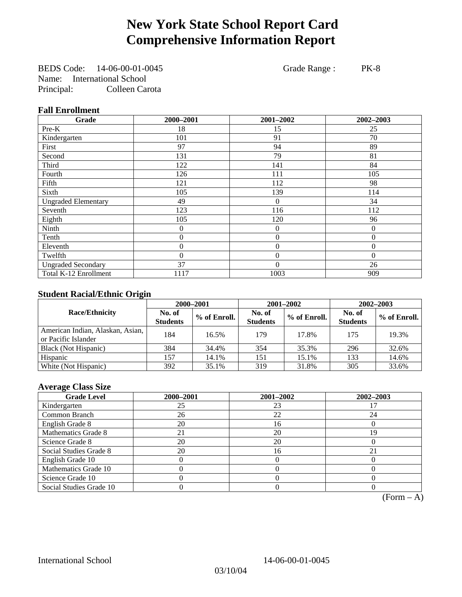## **New York State School Report Card Comprehensive Information Report**

BEDS Code: 14-06-00-01-0045 Grade Range : PK-8 Name: International School Principal: Colleen Carota

### **Fall Enrollment**

| Grade                      | 2000-2001      | 2001-2002        | 2002-2003 |
|----------------------------|----------------|------------------|-----------|
| Pre-K                      | 18             | 15               | 25        |
| Kindergarten               | 101            | 91               | 70        |
| First                      | 97             | 94               | 89        |
| Second                     | 131            | 79               | 81        |
| Third                      | 122            | 141              | 84        |
| Fourth                     | 126            | 111              | 105       |
| Fifth                      | 121            | 112              | 98        |
| Sixth                      | 105            | 139              | 114       |
| <b>Ungraded Elementary</b> | 49             | $\overline{0}$   | 34        |
| Seventh                    | 123            | 116              | 112       |
| Eighth                     | 105            | 120              | 96        |
| Ninth                      | $\theta$       | $\theta$         | $\Omega$  |
| Tenth                      | 0              | 0                | $\theta$  |
| Eleventh                   | 0              | $\boldsymbol{0}$ | $\theta$  |
| Twelfth                    | $\overline{0}$ | $\overline{0}$   | $\Omega$  |
| <b>Ungraded Secondary</b>  | 37             | $\theta$         | 26        |
| Total K-12 Enrollment      | 1117           | 1003             | 909       |

### **Student Racial/Ethnic Origin**

|                                                         | 2000-2001                 |              |                           | 2001-2002    | $2002 - 2003$             |                |
|---------------------------------------------------------|---------------------------|--------------|---------------------------|--------------|---------------------------|----------------|
| <b>Race/Ethnicity</b>                                   | No. of<br><b>Students</b> | % of Enroll. | No. of<br><b>Students</b> | % of Enroll. | No. of<br><b>Students</b> | $%$ of Enroll. |
| American Indian, Alaskan, Asian,<br>or Pacific Islander | 184                       | 16.5%        | 179                       | 17.8%        | 175                       | 19.3%          |
| Black (Not Hispanic)                                    | 384                       | 34.4%        | 354                       | 35.3%        | 296                       | 32.6%          |
| Hispanic                                                | 157                       | 14.1%        | 151                       | 15.1%        | 133                       | 14.6%          |
| White (Not Hispanic)                                    | 392                       | 35.1%        | 319                       | 31.8%        | 305                       | 33.6%          |

### **Average Class Size**

| <b>Grade Level</b>      | 2000-2001 | 2001-2002 | 2002-2003 |
|-------------------------|-----------|-----------|-----------|
| Kindergarten            | 25        | 23        |           |
| Common Branch           | 26        | 22        | 24        |
| English Grade 8         | 20        | 16        |           |
| Mathematics Grade 8     | 21        | 20        | 19        |
| Science Grade 8         | 20        | 20        |           |
| Social Studies Grade 8  | 20        | 16        | 21        |
| English Grade 10        |           |           |           |
| Mathematics Grade 10    |           |           |           |
| Science Grade 10        |           |           |           |
| Social Studies Grade 10 |           |           |           |

 $(Form – A)$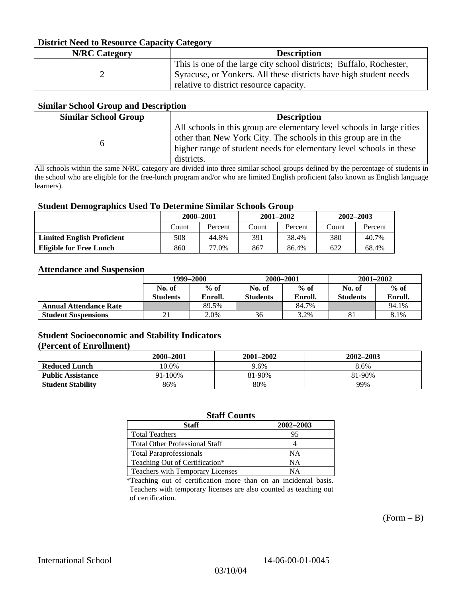### **District Need to Resource Capacity Category**

| <b>N/RC</b> Category | <b>Description</b>                                                                                                                                                                  |
|----------------------|-------------------------------------------------------------------------------------------------------------------------------------------------------------------------------------|
|                      | This is one of the large city school districts; Buffalo, Rochester,<br>Syracuse, or Yonkers. All these districts have high student needs<br>relative to district resource capacity. |

#### **Similar School Group and Description**

| <b>Similar School Group</b> | <b>Description</b>                                                                                                                                                                                                            |
|-----------------------------|-------------------------------------------------------------------------------------------------------------------------------------------------------------------------------------------------------------------------------|
|                             | All schools in this group are elementary level schools in large cities<br>other than New York City. The schools in this group are in the<br>higher range of student needs for elementary level schools in these<br>districts. |

All schools within the same N/RC category are divided into three similar school groups defined by the percentage of students in the school who are eligible for the free-lunch program and/or who are limited English proficient (also known as English language learners).

#### **Student Demographics Used To Determine Similar Schools Group**

| 0                                 | 2000-2001<br>Percent<br>Count |       | $2001 - 2002$ |         | $2002 - 2003$ |         |
|-----------------------------------|-------------------------------|-------|---------------|---------|---------------|---------|
|                                   |                               |       | Count         | Percent | Count         | Percent |
| <b>Limited English Proficient</b> | 508                           | 44.8% | 391           | 38.4%   | 380           | 40.7%   |
| Eligible for Free Lunch           | 860                           | 77.0% | 867           | 86.4%   | 622           | 68.4%   |

#### **Attendance and Suspension**

|                               | 1999–2000                 |                   | 2000-2001                 |                   | $2001 - 2002$             |                   |
|-------------------------------|---------------------------|-------------------|---------------------------|-------------------|---------------------------|-------------------|
|                               | No. of<br><b>Students</b> | $%$ of<br>Enroll. | No. of<br><b>Students</b> | $%$ of<br>Enroll. | No. of<br><b>Students</b> | $%$ of<br>Enroll. |
| <b>Annual Attendance Rate</b> |                           | 89.5%             |                           | 84.7%             |                           | 94.1%             |
| <b>Student Suspensions</b>    | $^{\circ}$ 1<br>ΖI        | 2.0%              | 36                        | 3.2%              | 81                        | 8.1%              |

### **Student Socioeconomic and Stability Indicators**

#### **(Percent of Enrollment)**

|                          | 2000–2001 | 2001-2002 | 2002-2003 |
|--------------------------|-----------|-----------|-----------|
| <b>Reduced Lunch</b>     | 10.0%     | 9.6%      | 8.6%      |
| <b>Public Assistance</b> | 91-100%   | 81-90%    | 81-90%    |
| <b>Student Stability</b> | 86%       | 80%       | 99%       |

### **Staff Counts**

| Staff                                 | 2002-2003 |
|---------------------------------------|-----------|
| <b>Total Teachers</b>                 | 95        |
| <b>Total Other Professional Staff</b> |           |
| <b>Total Paraprofessionals</b>        | NΑ        |
| Teaching Out of Certification*        | NΑ        |
| Teachers with Temporary Licenses      | NΔ        |

\*Teaching out of certification more than on an incidental basis. Teachers with temporary licenses are also counted as teaching out of certification.

 $(Form - B)$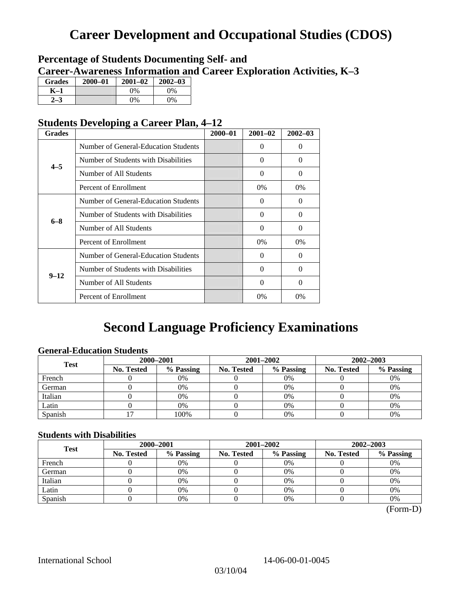# **Career Development and Occupational Studies (CDOS)**

### **Percentage of Students Documenting Self- and Career-Awareness Information and Career Exploration Activities, K–3**

| <b>Grades</b> | $2000 - 01$ | $2001 - 02$ | $2002 - 03$ |
|---------------|-------------|-------------|-------------|
| K–1           |             | 9%          | $0\%$       |
|               |             | $0\%$       | $0\%$       |

### **Students Developing a Career Plan, 4–12**

| <b>Grades</b> |                                      | $2000 - 01$ | $2001 - 02$ | $2002 - 03$ |
|---------------|--------------------------------------|-------------|-------------|-------------|
|               | Number of General-Education Students |             | 0           | $\Omega$    |
| $4 - 5$       | Number of Students with Disabilities |             | 0           | $\Omega$    |
|               | Number of All Students               |             | 0           | $\Omega$    |
|               | Percent of Enrollment                |             | 0%          | $0\%$       |
|               | Number of General-Education Students |             | 0           | 0           |
|               | Number of Students with Disabilities |             | $\Omega$    | $\Omega$    |
| $6 - 8$       | Number of All Students               |             | $\theta$    | $\Omega$    |
|               | Percent of Enrollment                |             | $0\%$       | $0\%$       |
|               | Number of General-Education Students |             | 0           | $\Omega$    |
| $9 - 12$      | Number of Students with Disabilities |             | 0           | $\Omega$    |
|               | Number of All Students               |             | $\Omega$    | $\Omega$    |
|               | Percent of Enrollment                |             | $0\%$       | 0%          |

## **Second Language Proficiency Examinations**

### **General-Education Students**

| <b>Test</b> | 2000-2001         |           |            | 2001-2002 | 2002-2003         |           |
|-------------|-------------------|-----------|------------|-----------|-------------------|-----------|
|             | <b>No. Tested</b> | % Passing | No. Tested | % Passing | <b>No. Tested</b> | % Passing |
| French      |                   | 0%        |            | $0\%$     |                   | 0%        |
| German      |                   | 0%        |            | 0%        |                   | 0%        |
| Italian     |                   | 0%        |            | 0%        |                   | 0%        |
| Latin       |                   | 0%        |            | 0%        |                   | 0%        |
| Spanish     |                   | 100%      |            | $0\%$     |                   | 0%        |

### **Students with Disabilities**

| <b>Test</b> | 2000-2001         |           |            | 2001-2002 | $2002 - 2003$ |           |  |
|-------------|-------------------|-----------|------------|-----------|---------------|-----------|--|
|             | <b>No. Tested</b> | % Passing | No. Tested | % Passing | No. Tested    | % Passing |  |
| French      |                   | 0%        |            | $0\%$     |               | 0%        |  |
| German      |                   | 0%        |            | 0%        |               | 0%        |  |
| Italian     |                   | 0%        |            | 0%        |               | 0%        |  |
| Latin       |                   | 0%        |            | $0\%$     |               | 0%        |  |
| Spanish     |                   | 0%        |            | 0%        |               | 0%        |  |

 <sup>(</sup>Form-D)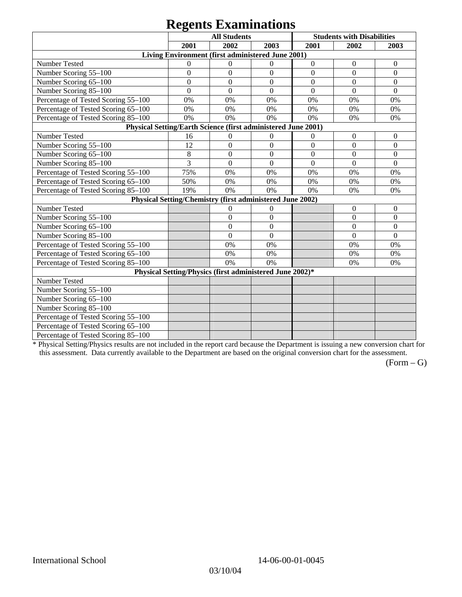# **Regents Examinations**

|                                                               | 8°-<br><b>All Students</b> |                                                           |                  | <b>Students with Disabilities</b> |                  |                  |  |
|---------------------------------------------------------------|----------------------------|-----------------------------------------------------------|------------------|-----------------------------------|------------------|------------------|--|
|                                                               | 2001                       | 2002                                                      | 2003             | 2001                              | 2002             | 2003             |  |
|                                                               |                            | Living Environment (first administered June 2001)         |                  |                                   |                  |                  |  |
| Number Tested                                                 | $\overline{0}$             | $\theta$                                                  | $\mathbf{0}$     | $\boldsymbol{0}$                  | $\boldsymbol{0}$ | $\boldsymbol{0}$ |  |
| Number Scoring 55-100                                         | $\overline{0}$             | $\overline{0}$                                            | $\overline{0}$   | $\overline{0}$                    | $\overline{0}$   | $\theta$         |  |
| Number Scoring 65-100                                         | $\mathbf{0}$               | $\overline{0}$                                            | $\mathbf{0}$     | $\overline{0}$                    | $\overline{0}$   | $\mathbf{0}$     |  |
| Number Scoring 85-100                                         | $\mathbf{0}$               | $\overline{0}$                                            | $\boldsymbol{0}$ | $\boldsymbol{0}$                  | $\mathbf{0}$     | $\boldsymbol{0}$ |  |
| Percentage of Tested Scoring 55-100                           | 0%                         | 0%                                                        | 0%               | 0%                                | 0%               | 0%               |  |
| Percentage of Tested Scoring 65-100                           | 0%                         | 0%                                                        | 0%               | 0%                                | 0%               | 0%               |  |
| Percentage of Tested Scoring 85-100                           | 0%                         | 0%                                                        | 0%               | 0%                                | 0%               | 0%               |  |
| Physical Setting/Earth Science (first administered June 2001) |                            |                                                           |                  |                                   |                  |                  |  |
| Number Tested                                                 | 16                         | $\boldsymbol{0}$                                          | $\boldsymbol{0}$ | $\overline{0}$                    | $\boldsymbol{0}$ | $\boldsymbol{0}$ |  |
| Number Scoring 55-100                                         | 12                         | $\overline{0}$                                            | $\overline{0}$   | $\overline{0}$                    | $\overline{0}$   | $\overline{0}$   |  |
| Number Scoring 65-100                                         | 8                          | $\overline{0}$                                            | $\overline{0}$   | $\overline{0}$                    | $\overline{0}$   | $\overline{0}$   |  |
| Number Scoring 85-100                                         | 3                          | $\overline{0}$                                            | $\mathbf{0}$     | $\overline{0}$                    | $\mathbf{0}$     | $\boldsymbol{0}$ |  |
| Percentage of Tested Scoring 55-100                           | 75%                        | 0%                                                        | 0%               | 0%                                | 0%               | 0%               |  |
| Percentage of Tested Scoring 65-100                           | 50%                        | 0%                                                        | 0%               | 0%                                | 0%               | 0%               |  |
| Percentage of Tested Scoring 85-100                           | 19%                        | 0%                                                        | 0%               | 0%                                | 0%               | 0%               |  |
|                                                               |                            | Physical Setting/Chemistry (first administered June 2002) |                  |                                   |                  |                  |  |
| Number Tested                                                 |                            | $\mathbf{0}$                                              | $\mathbf{0}$     |                                   | $\theta$         | $\theta$         |  |
| Number Scoring 55-100                                         |                            | $\overline{0}$                                            | $\mathbf{0}$     |                                   | $\theta$         | $\overline{0}$   |  |
| Number Scoring 65-100                                         |                            | $\mathbf{0}$                                              | $\Omega$         |                                   | $\theta$         | $\theta$         |  |
| Number Scoring 85-100                                         |                            | $\overline{0}$                                            | $\mathbf{0}$     |                                   | $\overline{0}$   | $\mathbf{0}$     |  |
| Percentage of Tested Scoring 55-100                           |                            | 0%                                                        | 0%               |                                   | 0%               | 0%               |  |
| Percentage of Tested Scoring 65-100                           |                            | 0%                                                        | 0%               |                                   | 0%               | 0%               |  |
| Percentage of Tested Scoring 85-100                           |                            | 0%                                                        | 0%               |                                   | 0%               | 0%               |  |
| Physical Setting/Physics (first administered June 2002)*      |                            |                                                           |                  |                                   |                  |                  |  |
| Number Tested                                                 |                            |                                                           |                  |                                   |                  |                  |  |
| Number Scoring 55-100                                         |                            |                                                           |                  |                                   |                  |                  |  |
| Number Scoring 65-100                                         |                            |                                                           |                  |                                   |                  |                  |  |
| Number Scoring 85-100                                         |                            |                                                           |                  |                                   |                  |                  |  |
| Percentage of Tested Scoring 55-100                           |                            |                                                           |                  |                                   |                  |                  |  |
| Percentage of Tested Scoring 65-100                           |                            |                                                           |                  |                                   |                  |                  |  |
| Percentage of Tested Scoring 85-100                           |                            |                                                           |                  |                                   |                  |                  |  |

\* Physical Setting/Physics results are not included in the report card because the Department is issuing a new conversion chart for this assessment. Data currently available to the Department are based on the original conversion chart for the assessment.

 $(Form - G)$